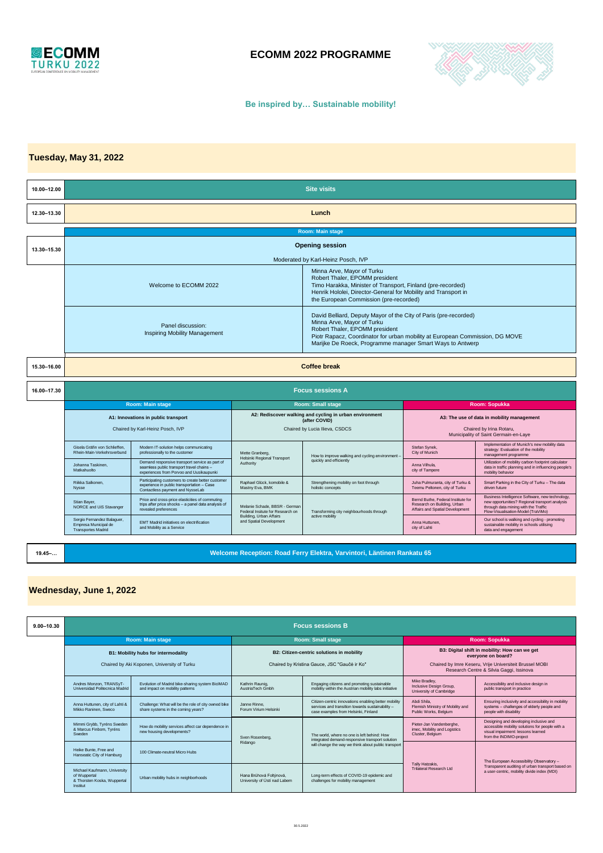

# **ECOMM 2022 PROGRAMME**



#### **Be inspired by… Sustainable mobility!**

# **Tuesday, May 31, 2022**

| <b>Site visits</b>                                                                                                                                                                                                                                               |                                                                                                                                         |                                                                                                                         |                                                                                                                                                                                                                                                                               |                                                                                                      |                                                                                                                                                                                 |  |
|------------------------------------------------------------------------------------------------------------------------------------------------------------------------------------------------------------------------------------------------------------------|-----------------------------------------------------------------------------------------------------------------------------------------|-------------------------------------------------------------------------------------------------------------------------|-------------------------------------------------------------------------------------------------------------------------------------------------------------------------------------------------------------------------------------------------------------------------------|------------------------------------------------------------------------------------------------------|---------------------------------------------------------------------------------------------------------------------------------------------------------------------------------|--|
| Lunch                                                                                                                                                                                                                                                            |                                                                                                                                         |                                                                                                                         |                                                                                                                                                                                                                                                                               |                                                                                                      |                                                                                                                                                                                 |  |
| <b>Room: Main stage</b>                                                                                                                                                                                                                                          |                                                                                                                                         |                                                                                                                         |                                                                                                                                                                                                                                                                               |                                                                                                      |                                                                                                                                                                                 |  |
| <b>Opening session</b>                                                                                                                                                                                                                                           |                                                                                                                                         |                                                                                                                         |                                                                                                                                                                                                                                                                               |                                                                                                      |                                                                                                                                                                                 |  |
|                                                                                                                                                                                                                                                                  |                                                                                                                                         | Moderated by Karl-Heinz Posch, IVP                                                                                      |                                                                                                                                                                                                                                                                               |                                                                                                      |                                                                                                                                                                                 |  |
| Minna Arve, Mayor of Turku<br>Robert Thaler, EPOMM president<br>Welcome to ECOMM 2022<br>Timo Harakka, Minister of Transport, Finland (pre-recorded)<br>Henrik Hololei, Director-General for Mobility and Transport in<br>the European Commission (pre-recorded) |                                                                                                                                         |                                                                                                                         |                                                                                                                                                                                                                                                                               |                                                                                                      |                                                                                                                                                                                 |  |
|                                                                                                                                                                                                                                                                  | Panel discussion:<br><b>Inspiring Mobility Management</b>                                                                               |                                                                                                                         | David Belliard, Deputy Mayor of the City of Paris (pre-recorded)<br>Minna Arve, Mayor of Turku<br>Robert Thaler, EPOMM president<br>Piotr Rapacz, Coordinator for urban mobility at European Commission, DG MOVE<br>Marijke De Roeck, Programme manager Smart Ways to Antwerp |                                                                                                      |                                                                                                                                                                                 |  |
| <b>Coffee break</b><br>15.30-16.00                                                                                                                                                                                                                               |                                                                                                                                         |                                                                                                                         |                                                                                                                                                                                                                                                                               |                                                                                                      |                                                                                                                                                                                 |  |
| <b>Focus sessions A</b><br>16.00-17.30                                                                                                                                                                                                                           |                                                                                                                                         |                                                                                                                         |                                                                                                                                                                                                                                                                               |                                                                                                      |                                                                                                                                                                                 |  |
|                                                                                                                                                                                                                                                                  |                                                                                                                                         |                                                                                                                         |                                                                                                                                                                                                                                                                               | <b>Room: Sopukka</b>                                                                                 |                                                                                                                                                                                 |  |
|                                                                                                                                                                                                                                                                  |                                                                                                                                         | A2: Rediscover walking and cycling in urban environment                                                                 |                                                                                                                                                                                                                                                                               | A3: The use of data in mobility management                                                           |                                                                                                                                                                                 |  |
| Chaired by Karl-Heinz Posch, IVP                                                                                                                                                                                                                                 |                                                                                                                                         | Chaired by Lucia Ilieva, CSDCS                                                                                          |                                                                                                                                                                                                                                                                               | Chaired by Irina Rotaru,<br>Municipality of Saint Germain-en-Laye                                    |                                                                                                                                                                                 |  |
| Gisela Gräfin von Schlieffen.<br>Modern IT-solution helps communicating<br>professionally to the customer<br>Rhein-Main-Verkehrsverbund                                                                                                                          |                                                                                                                                         | Mette Granberg.<br><b>Helsinki Regional Transport</b><br>Authority                                                      | How to improve walking and cycling environment -<br>quickly and efficiently                                                                                                                                                                                                   | Stefan Synek,<br>City of Munich                                                                      | Implementation of Munich's new mobility data<br>strategy: Evaluation of the mobility<br>management programme                                                                    |  |
| Johanna Taskinen.<br>Matkahuolto                                                                                                                                                                                                                                 | Demand responsive transport service as part of<br>seamless public transport travel chains -<br>experiences from Porvoo and Uusikaupunki |                                                                                                                         |                                                                                                                                                                                                                                                                               | Anna Vilhula.<br>city of Tampere                                                                     | Utilization of mobility carbon footprint calculator<br>data in traffic planning and in influencing people's<br>mobility behavior                                                |  |
| Riikka Salkonen.<br>Nysse                                                                                                                                                                                                                                        | Participating customers to create better customer<br>experience in public transportation - Case<br>Contactless payment and NysseLab     | Raphael Glück, komobile &<br>Mastny Eva, BMK                                                                            | Strengthening mobility on foot through<br>holistic concepts                                                                                                                                                                                                                   | Juha Pulmuranta, city of Turku &<br>Teemu Peltonen, city of Turku                                    | Smart Parking in the City of Turku - The data<br>driven future                                                                                                                  |  |
| Stian Baver.<br>NORCE and UiS Stavanger                                                                                                                                                                                                                          | Price and cross-price elasticities of commuting<br>trips after price shocks - a panel data analysis of<br>revealed preferences          | Melanie Schade, BBSR - German<br>Federal Insitute for Research on<br>Building, Urban Affairs<br>and Spatial Development | Transforming city neighbourhoods through<br>active mobility                                                                                                                                                                                                                   | Bernd Buthe, Federal Institute for<br>Research on Building, Urban<br>Affairs and Spatial Development | Business Intelligence Software, new technology.<br>new opportunities? Regional transport analysis<br>through data mining with the Traffic<br>Flow-Visualisation-Model (TraViMo) |  |
| Sergio Fernandez Balaguer,<br>Empresa Municipal de<br><b>Transportes Madrid</b>                                                                                                                                                                                  | EMT Madrid initiatives on electrification<br>and Mobility as a Service                                                                  |                                                                                                                         |                                                                                                                                                                                                                                                                               | Anna Huttunen,<br>city of Lahti                                                                      | Our school is walking and cycling - promoting<br>sustainable mobility in schools utilising<br>data and engagement                                                               |  |
|                                                                                                                                                                                                                                                                  |                                                                                                                                         | <b>Room: Main stage</b><br>A1: Innovations in public transport                                                          |                                                                                                                                                                                                                                                                               | <b>Room: Small stage</b><br>(after COVID)                                                            |                                                                                                                                                                                 |  |

**19.45–…**

**Welcome Reception: Road Ferry Elektra, Varvintori, Läntinen Rankatu 65**

# **Wednesday, June 1, 2022**

| $9.00 - 10.30$ | <b>Focus sessions B</b>                                                                 |                                                                                           |                                                         |                                                                                                                                                       |                                                                                                     |                                                                                                                                                            |
|----------------|-----------------------------------------------------------------------------------------|-------------------------------------------------------------------------------------------|---------------------------------------------------------|-------------------------------------------------------------------------------------------------------------------------------------------------------|-----------------------------------------------------------------------------------------------------|------------------------------------------------------------------------------------------------------------------------------------------------------------|
|                | <b>Room: Main stage</b>                                                                 |                                                                                           | <b>Room: Small stage</b>                                |                                                                                                                                                       | Room: Sopukka                                                                                       |                                                                                                                                                            |
|                | <b>B1: Mobility hubs for intermodality</b>                                              |                                                                                           | B2: Citizen-centric solutions in mobility               |                                                                                                                                                       | B3: Digital shift in mobility: How can we get<br>evervone on board?                                 |                                                                                                                                                            |
|                | Chaired by Aki Koponen, University of Turku                                             |                                                                                           | Chaired by Kristina Gauce, JSC "Gaučé ir Ko"            |                                                                                                                                                       | Chaired by Imre Keseru, Vrije Universiteit Brussel MOBI<br>Research Centre & Silvia Gaggi, Issinova |                                                                                                                                                            |
|                | Andres Monzon, TRANSyT-<br>Universidad Politecnica Madrid                               | Evolution of Madrid bike-sharing system BiciMAD<br>and impact on mobility patterns        | Kathrin Raunig.<br>AustriaTech Gmbh                     | Engaging citizens and promoting sustainable<br>mobility within the Austrian mobility labs initiative                                                  | Mike Bradley.<br>Inclusive Design Group.<br>University of Cambridge                                 | Accessibility and inclusive design in<br>public transport in practice                                                                                      |
|                | Anna Huttunen, city of Lahti &<br>Mikko Raninen, Sweco                                  | Challenge: What will be the role of city owned bike<br>share systems in the coming years? | Janne Rinne.<br>Forum Virium Helsinki                   | Citizen-centric innovations enabling better mobility<br>services and transition towards sustainability -<br>case examples from Helsinki, Finland      | Abdi Shila.<br>Flemish Ministry of Mobility and<br>Public Works, Belaium                            | Ensuring inclusivity and accessibility in mobility<br>systems - challenges of elderly people and<br>people with disability                                 |
|                | Mimmi Grybb, Tyréns Sweden<br>& Marcus Finbom, Tyréns<br>Sweden                         | How do mobility services affect car dependence in<br>new housing developments?            | Sven Rosenberg.                                         | The world, where no one is left behind: How<br>integrated demand-responsive transport solution<br>will change the way we think about public transport | Pieter-Jan Vandenberghe.<br>imec, Mobility and Logistics<br>Cluster, Belgium                        | Designing and developing inclusive and<br>accessible mobility solutions for people with a<br>visual impairment: lessons learned<br>from the INDIMO-project |
|                | Heike Bunte, Free and<br>Hanseatic City of Hamburg                                      | 100 Climate-neutral Micro Hubs                                                            | Ridango                                                 |                                                                                                                                                       | Tally Hatzakis.<br>Trilateral Research Ltd.                                                         | The European Accessibility Observatory -<br>Transparent auditing of urban transport based on<br>a user-centric, mobility divide index (MDI)                |
|                | Michael Kaufmann, University<br>of Wuppertal<br>& Thorsten Koska, Wuppertal<br>Institut | Urban mobility hubs in neighborhoods                                                      | Hana Brůhová Foltýnová.<br>University of Ústí nad Labem | Long-term effects of COVID-19 epidemic and<br>challenges for mobility management                                                                      |                                                                                                     |                                                                                                                                                            |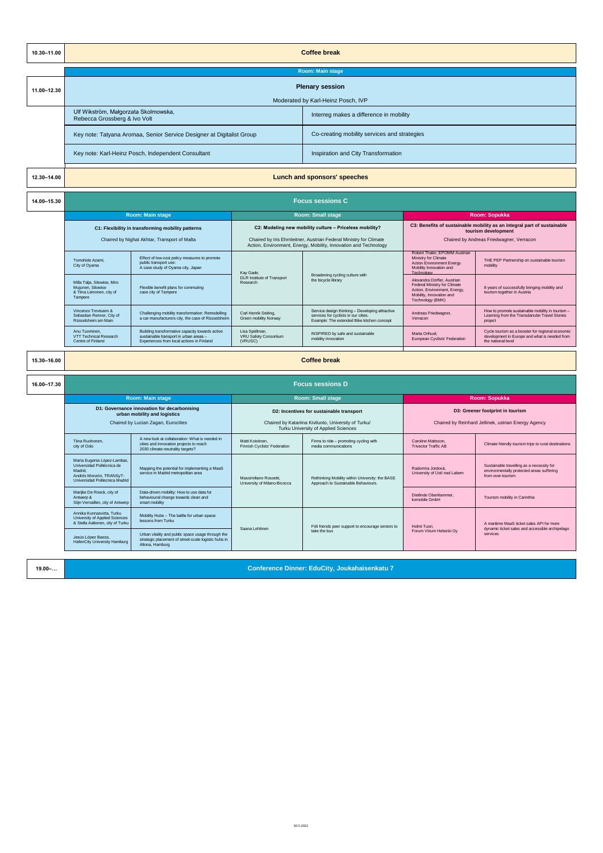| 10.30-11.00 | <b>Coffee break</b>                                                                                                                                   |                                                                                                                                        |                                                           |                                                                                                                                        |                                                                                                                                             |                                                                                                                         |  |  |
|-------------|-------------------------------------------------------------------------------------------------------------------------------------------------------|----------------------------------------------------------------------------------------------------------------------------------------|-----------------------------------------------------------|----------------------------------------------------------------------------------------------------------------------------------------|---------------------------------------------------------------------------------------------------------------------------------------------|-------------------------------------------------------------------------------------------------------------------------|--|--|
|             | <b>Room: Main stage</b>                                                                                                                               |                                                                                                                                        |                                                           |                                                                                                                                        |                                                                                                                                             |                                                                                                                         |  |  |
| 11.00-12.30 | <b>Plenary session</b>                                                                                                                                |                                                                                                                                        |                                                           |                                                                                                                                        |                                                                                                                                             |                                                                                                                         |  |  |
|             | Moderated by Karl-Heinz Posch, IVP<br>Ulf Wikström, Małgorzata Skolmowska,<br>Interreg makes a difference in mobility<br>Rebecca Grossberg & Ivo Volt |                                                                                                                                        |                                                           |                                                                                                                                        |                                                                                                                                             |                                                                                                                         |  |  |
|             | Key note: Tatyana Aromaa, Senior Service Designer at Digitalist Group                                                                                 |                                                                                                                                        |                                                           | Co-creating mobility services and strategies                                                                                           |                                                                                                                                             |                                                                                                                         |  |  |
|             | Key note: Karl-Heinz Posch, Independent Consultant                                                                                                    |                                                                                                                                        |                                                           | Inspiration and City Transformation                                                                                                    |                                                                                                                                             |                                                                                                                         |  |  |
| 12.30-14.00 | Lunch and sponsors' speeches                                                                                                                          |                                                                                                                                        |                                                           |                                                                                                                                        |                                                                                                                                             |                                                                                                                         |  |  |
| 14.00-15.30 | <b>Focus sessions C</b>                                                                                                                               |                                                                                                                                        |                                                           |                                                                                                                                        |                                                                                                                                             |                                                                                                                         |  |  |
|             |                                                                                                                                                       | <b>Room: Main stage</b>                                                                                                                |                                                           | <b>Room: Small stage</b>                                                                                                               | <b>Room: Sopukka</b>                                                                                                                        |                                                                                                                         |  |  |
|             |                                                                                                                                                       | C1: Flexibility in transforming mobility patterns                                                                                      |                                                           | C2: Modeling new mobility culture - Priceless mobility?                                                                                |                                                                                                                                             | C3: Benefits of sustainable mobility as an integral part of sustainable                                                 |  |  |
|             |                                                                                                                                                       | Chaired by Nighat Akhtar, Transport of Malta                                                                                           |                                                           | Chaired by Iris Ehrnleitner, Austrian Federal Ministry for Climate<br>Action, Environment, Energy, Mobility, Innovation and Technology |                                                                                                                                             | tourism development<br>Chaired by Andreas Friedwagner, Verracon                                                         |  |  |
|             | Tomohide Azami.<br>City of Oyama                                                                                                                      | Effect of low-cost policy measures to promote<br>public transport use:<br>A case study of Oyama city, Japan                            | Kay Gade,                                                 | Broadening cycling culture with<br>the bicycle library                                                                                 | Robert Thaler, EPOMM Austrian<br>Ministry for Climate<br><b>Action Environment Energy</b><br>Mobility Innovation and<br>Technology          | THE PEP Partnership on sustainable tourism<br>mobility                                                                  |  |  |
|             | Milla Talja, Sitowise, Miro<br>Mujunen, Sitowise<br>& Tiina Leinonen, city of<br>Tampere                                                              | Flexible benefit plans for commuting<br>case city of Tampere                                                                           | DLR Institute of Transport<br>Research                    |                                                                                                                                        | Alexandra Dörfler, Austrian<br>Federal Ministry for Climate<br>Action, Environment, Energy,<br>Mobility, Innovation and<br>Technology (BMK) | 8 years of successfully bringing mobility and<br>tourism together in Austria                                            |  |  |
|             | Vincenzo Trevisann &<br>Sebastian Renner, City of<br>Rüsselsheim am Main                                                                              | Challenging mobility transformation: Remodelling<br>a car-manufacturers city, the case of Rüsselsheim                                  | Carl Henrik Deiting,<br>Green mobility Norway             | Service design thinking - Developing attractive<br>services for cyclists in our cities.<br>Example: The extended Bike kitchen concept  | Andreas Friedwagner,<br>Verracon                                                                                                            | How to promote sustainable mobility in tourism -<br>Learning from the Transdanube Travel Stories<br>project             |  |  |
|             | Any Tuominen.<br>VTT Technical Research<br>Centre of Finland                                                                                          | Building transformative capacity towards active<br>sustainable transport in urban areas -<br>Experiences from local actions in Finland | Lisa Spellman.<br><b>VRU Safety Consortium</b><br>(VRUSC) | INSPIRED by safe and sustainable<br>mobility innovation                                                                                | Marta Orihuel,<br>European Cyclists' Federation                                                                                             | Cycle tourism as a booster for regional economic<br>development in Europe and what is needed from<br>the national level |  |  |
| 15.30-16.00 | <b>Coffee break</b>                                                                                                                                   |                                                                                                                                        |                                                           |                                                                                                                                        |                                                                                                                                             |                                                                                                                         |  |  |
| 16.00-17.30 |                                                                                                                                                       |                                                                                                                                        |                                                           | <b>Focus sessions D</b>                                                                                                                |                                                                                                                                             |                                                                                                                         |  |  |
|             |                                                                                                                                                       | Room: Main stage                                                                                                                       |                                                           | <b>Room: Small stage</b>                                                                                                               | Room: Sopukka                                                                                                                               |                                                                                                                         |  |  |
|             |                                                                                                                                                       | D1: Governance innovation for decarbonising<br>urban mobility and logistics                                                            |                                                           | D2: Incentives for sustainable transport                                                                                               | D3: Greener footprint in tourism                                                                                                            |                                                                                                                         |  |  |
|             |                                                                                                                                                       | Chaired by Lucian Zagan, Eurocities                                                                                                    |                                                           | Chaired by Katariina Kiviluoto, University of Turku/<br>Turku University of Applied Sciences                                           | Chaired by Reinhard Jellinek, ustrian Energy Agency                                                                                         |                                                                                                                         |  |  |
|             | Tiina Ruohonen,<br>city of Oslo                                                                                                                       | A new look at collaboration: What is needed in<br>cities and innovation projects to reach<br>2030 climate-neutrality targets?          | Matti Koistinen,<br>Finnish Cyclists' Federation          | Finns to ride - promoting cycling with<br>media communications                                                                         | Caroline Mattsson,<br><b>Trivector Traffic AB</b>                                                                                           | Climate friendly tourism trips to rural destinations                                                                    |  |  |
|             | María Eugenia López-Lambas,<br>Universidad Politécnica de<br>Madrid.<br>Andrés Monzón, TRANSyT-<br>Universidad Politecnica Madrid                     | Mapping the potential for implementing a MaaS<br>service in Madrid metropolitan area                                                   | Massimiliano Rossetti,<br>University of Milano-Bicocca    | Rethinking Mobility within University: the BASE<br>Approach to Sustainable Behaviours.                                                 | Radomíra Jordová.<br>University of Ústí nad Labem                                                                                           | Sustainable travelling as a necessity for<br>environmentally protected areas suffering<br>from over-tourism             |  |  |
|             | Marijke De Roeck, city of<br>Antwerp &<br>Stijn Vernaillen, city of Antwerp                                                                           | Data-driven mobility: How to use data for<br>behavioural change towards clean and<br>smart mobility                                    |                                                           |                                                                                                                                        | Dietlinde Oberklammer.<br>komobile GmbH                                                                                                     | Tourism mobility in Carinthia                                                                                           |  |  |
|             | Annika Kunnasvirta, Turku<br>University of Applied Sciences<br>& Stella Aaltonen, city of Turku                                                       | Mobility Hubs - The battle for urban space:<br>lessons from Turku                                                                      | Saana Lehtinen                                            | Föli friends peer support to encourage seniors to                                                                                      | Helmi Tuori.                                                                                                                                | A maritime MaaS ticket sales API for more<br>dynamic ticket sales and accessible archipelago                            |  |  |
|             | Jesús López Baeza,<br><b>HafenCity University Hamburg</b>                                                                                             | Urban vitality and public space usage through the<br>strategic placement of street-scale logistic hubs in<br>Altona, Hamburg           |                                                           | take the bus                                                                                                                           | Forum Virium Helsinki Oy                                                                                                                    | services                                                                                                                |  |  |
| $19.00 - $  |                                                                                                                                                       |                                                                                                                                        |                                                           | Conference Dinner: EduCity, Joukahaisenkatu 7                                                                                          |                                                                                                                                             |                                                                                                                         |  |  |